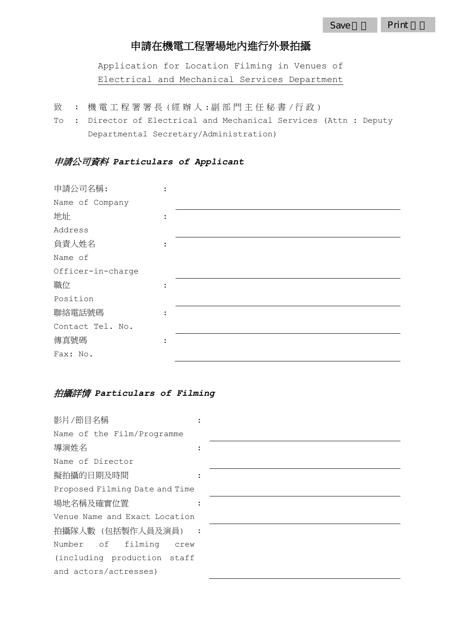# 申請在機電工程署場地內進行外景拍攝

Application for Location Filming in Venues of Electrical and Mechanical Services Department

- 致 : 機電工程署署長(經辦人:副部門主任秘書/行政)
- To : Director of Electrical and Mechanical Services (Attn : Deputy Departmental Secretary/Administration)

### 申請公司資料 *Particulars of Applicant*

| 申請公司名稱:           |  |
|-------------------|--|
| Name of Company   |  |
| 地址                |  |
| Address           |  |
| 負責人姓名             |  |
| Name of           |  |
| Officer-in-charge |  |
| 職位                |  |
| Position          |  |
| 聯絡電話號碼            |  |
| Contact Tel. No.  |  |
| 傳真號碼              |  |
| Fax: No.          |  |

### 拍攝詳情 *Particulars of Filming*

| 影片/節目名稱                        |  |  |  |  |
|--------------------------------|--|--|--|--|
| Name of the Film/Programme     |  |  |  |  |
| 導演姓名                           |  |  |  |  |
| Name of Director               |  |  |  |  |
| 擬拍攝的日期及時間                      |  |  |  |  |
| Proposed Filming Date and Time |  |  |  |  |
| 場地名稱及確實位置                      |  |  |  |  |
| Venue Name and Exact Location  |  |  |  |  |
| 拍攝隊人數 (包括製作人員及演員) :            |  |  |  |  |
| Number of filming<br>crew      |  |  |  |  |
| (including production staff    |  |  |  |  |
| and actors/actresses)          |  |  |  |  |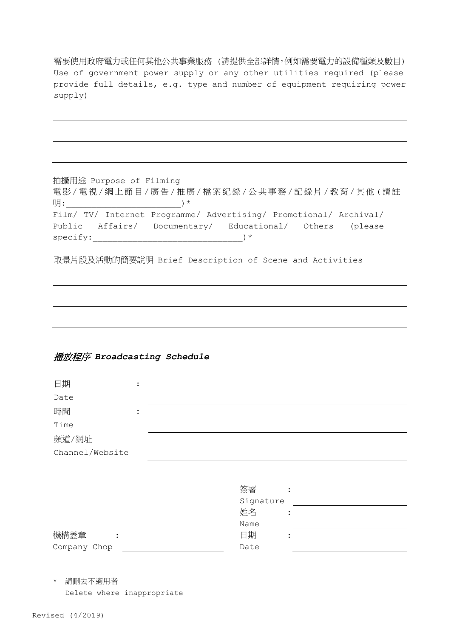需要使用政府電力或任何其他公共事業服務 (請提供全部詳情,例如需要電力的設備種類及數目) Use of government power supply or any other utilities required (please provide full details, e.g. type and number of equipment requiring power supply)

拍攝用途 Purpose of Filming 電影/電視/網上節目/廣告/推廣/檔案紀錄/公共事務/記錄片/教育/其他(請註 明:\_\_\_\_\_\_\_\_\_\_\_\_\_\_\_\_\_\_\_\_\_\_\_)\* Film/ TV/ Internet Programme/ Advertising/ Promotional/ Archival/ Public Affairs/ Documentary/ Educational/ Others (please  $specify:$   $*$ 

取景片段及活動的簡要說明 Brief Description of Scene and Activities

#### 播放程序 *Broadcasting Schedule*

| 日期              | $\bullet$ |  |
|-----------------|-----------|--|
| Date            |           |  |
| 時間              | $\bullet$ |  |
| Time            |           |  |
| 頻道/網址           |           |  |
| Channel/Website |           |  |

|              | 簽署        |           |
|--------------|-----------|-----------|
|              | Signature |           |
|              | 姓名        | $\bullet$ |
|              | Name      |           |
| 機構蓋章         | 日期        | $\bullet$ |
| Company Chop | Date      |           |

\* 請刪去不適用者 Delete where inappropriate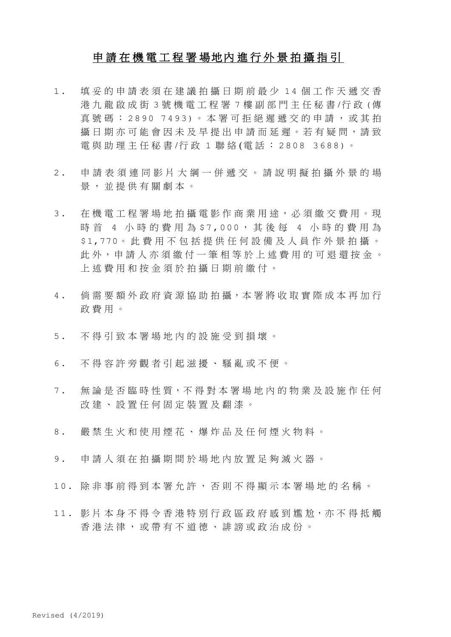## 申 請 在 機 電 工 程 署 場地內 進 行 外 景 拍 攝 指 引

- 1 . 填妥的申請表須在建議拍攝日期前最少 1 4 個工作天遞交香 港 九龍啟成街 3 號機電工程署 7 樓 副部門主任秘書 /行 政 (傳 真號碼:2890 7493)。本署可拒絕遲遞交的申請,或其拍 攝 日 期 亦 可 能 會 因 未 及 早 提 出 申 請 而 延 遲 。 若 有 疑 問 , 請 致 電 與 助 理 主 任 秘 書 /行 政 1 聯 絡 (電 話 : 2808 3688)。
- 2 . 申 請 表 須 連 同 影 片 大 綱 一 併 遞 交 。 請 說 明 擬 拍 攝 外 景 的 場 景 , 並提供有關劇本 。
- 3 . 在機電工程署場地拍攝電影作商業用途 , 必 須 繳 交 費 用 。 現 時 首 4 小 時 的 費 用 為 \$7,000, 其 後 每 4 小 時 的 費 用 為 \$1,770。 此費用不包 括 提 供 任 何 設 備 及 人 員 作 外 景 拍 攝 。 此 外, 申請 人 亦 須 繳 付 一 筆 相 等 於 上 述 費 用 的 可 退 還 按 金 。 上述費用和按金須於拍攝日期前繳付 。
- 4 . 倘需要額外政府資源協助拍攝,本署將收取實際成本再加行 政費用 。
- 5. 不得引致本署場地内的設施受到損壞。
- 6 . 不得容許旁觀者引起滋擾 、 騷亂或不便 。
- 7 . 無論是否臨時性質,不得對本署場地內的物業及設施作任何 改 建 、 設 置 任何固定裝置及翻漆 。
- 8 . 嚴禁生火和使用煙花 、 爆炸品及任何煙火物料 。
- 9 . 申請人須在拍攝期間於場地內放置足夠滅火器 。
- 10. 除非事前得到本署允許 , 否則不得顯示本署場地的名稱 。
- 11. 影片本身不得令香港特別行政區政府感到尷尬,亦不得抵觸 香港法律 , 或帶有不道德 、 誹謗或政治成份 。